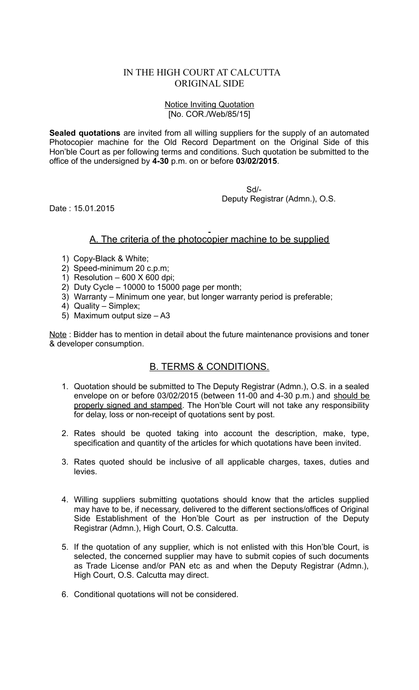## IN THE HIGH COURT AT CALCUTTA ORIGINAL SIDE

## Notice Inviting Quotation [No. COR./Web/85/15]

**Sealed quotations** are invited from all willing suppliers for the supply of an automated Photocopier machine for the Old Record Department on the Original Side of this Hon'ble Court as per following terms and conditions. Such quotation be submitted to the office of the undersigned by **4-30** p.m. on or before **03/02/2015**.

Sd/-

Deputy Registrar (Admn.), O.S.

Date : 15.01.2015

## A. The criteria of the photocopier machine to be supplied

- 1) Copy-Black & White;
- 2) Speed-minimum 20 c.p.m;
- 1) Resolution  $-600$  X 600 dpi;
- 2) Duty Cycle 10000 to 15000 page per month;
- 3) Warranty Minimum one year, but longer warranty period is preferable;
- 4) Quality Simplex;
- 5) Maximum output size A3

Note : Bidder has to mention in detail about the future maintenance provisions and toner & developer consumption.

## B. TERMS & CONDITIONS.

- 1. Quotation should be submitted to The Deputy Registrar (Admn.), O.S. in a sealed envelope on or before 03/02/2015 (between 11-00 and 4-30 p.m.) and should be properly signed and stamped. The Hon'ble Court will not take any responsibility for delay, loss or non-receipt of quotations sent by post.
- 2. Rates should be quoted taking into account the description, make, type, specification and quantity of the articles for which quotations have been invited.
- 3. Rates quoted should be inclusive of all applicable charges, taxes, duties and levies.
- 4. Willing suppliers submitting quotations should know that the articles supplied may have to be, if necessary, delivered to the different sections/offices of Original Side Establishment of the Hon'ble Court as per instruction of the Deputy Registrar (Admn.), High Court, O.S. Calcutta.
- 5. If the quotation of any supplier, which is not enlisted with this Hon'ble Court, is selected, the concerned supplier may have to submit copies of such documents as Trade License and/or PAN etc as and when the Deputy Registrar (Admn.), High Court, O.S. Calcutta may direct.
- 6. Conditional quotations will not be considered.